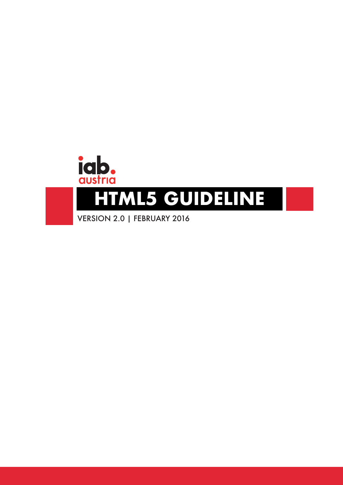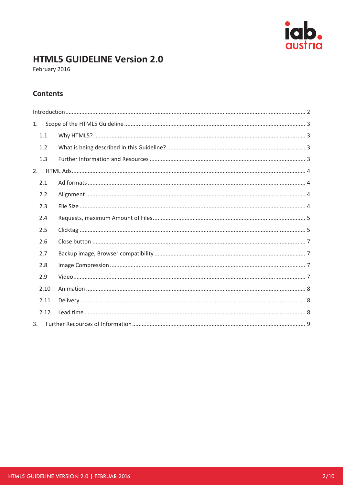

# **HTML5 GUIDELINE Version 2.0**

February 2016

# **Contents**

| 1.   |  |  |
|------|--|--|
| 1.1  |  |  |
| 1.2  |  |  |
| 1.3  |  |  |
| 2.   |  |  |
| 2.1  |  |  |
| 2.2  |  |  |
| 2.3  |  |  |
| 2.4  |  |  |
| 2.5  |  |  |
| 2.6  |  |  |
| 2.7  |  |  |
| 2.8  |  |  |
| 2.9  |  |  |
| 2.10 |  |  |
| 2.11 |  |  |
| 2.12 |  |  |
| 3.   |  |  |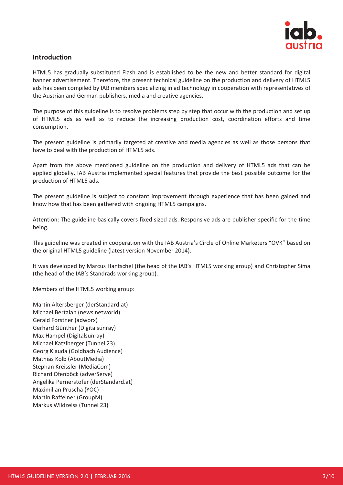

# **Introduction**

HTML5 has gradually substituted Flash and is established to be the new and better standard for digital banner advertisement. Therefore, the present technical guideline on the production and delivery of HTML5 ads has been compiled by IAB members specializing in ad technology in cooperation with representatives of the Austrian and German publishers, media and creative agencies.

The purpose of this guideline is to resolve problems step by step that occur with the production and set up of HTML5 ads as well as to reduce the increasing production cost, coordination efforts and time consumption.

The present guideline is primarily targeted at creative and media agencies as well as those persons that have to deal with the production of HTML5 ads.

Apart from the above mentioned guideline on the production and delivery of HTML5 ads that can be applied globally, IAB Austria implemented special features that provide the best possible outcome for the production of HTML5 ads.

The present guideline is subject to constant improvement through experience that has been gained and know how that has been gathered with ongoing HTML5 campaigns.

Attention: The guideline basically covers fixed sized ads. Responsive ads are publisher specific for the time being.

This guideline was created in cooperation with the IAB Austria's Circle of Online Marketers "OVK" based on the original HTML5 guideline (latest version November 2014).

It was developed by Marcus Hantschel (the head of the IAB's HTML5 working group) and Christopher Sima (the head of the IAB's Standrads working group).

Members of the HTML5 working group:

Martin Altersberger (derStandard.at) Michael Bertalan (news networld) Gerald Forstner (adworx) Gerhard Günther (Digitalsunray) Max Hampel (Digitalsunray) Michael Katzlberger (Tunnel 23) Georg Klauda (Goldbach Audience) Mathias Kolb (AboutMedia) Stephan Kreissler (MediaCom) Richard Ofenböck (adverServe) Angelika Pernerstofer (derStandard.at) Maximilian Pruscha (YOC) Martin Raffeiner (GroupM) Markus Wildzeiss (Tunnel 23)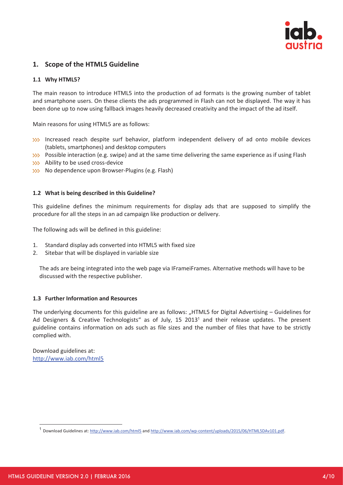

# **1. Scope of the HTML5 Guideline**

### **1.1 Why HTML5?**

The main reason to introduce HTML5 into the production of ad formats is the growing number of tablet and smartphone users. On these clients the ads programmed in Flash can not be displayed. The way it has been done up to now using fallback images heavily decreased creativity and the impact of the ad itself.

Main reasons for using HTML5 are as follows:

- Increased reach despite surf behavior, platform independent delivery of ad onto mobile devices (tablets, smartphones) and desktop computers
- **Possible interaction (e.g. swipe) and at the same time delivering the same experience as if using Flash**
- Ability to be used cross-device
- **XXX** No dependence upon Browser-Plugins (e.g. Flash)

#### **1.2 What is being described in this Guideline?**

This guideline defines the minimum requirements for display ads that are supposed to simplify the procedure for all the steps in an ad campaign like production or delivery.

The following ads will be defined in this guideline:

- 1. Standard display ads converted into HTML5 with fixed size
- 2. Sitebar that will be displayed in variable size

The ads are being integrated into the web page via IFrameiFrames. Alternative methods will have to be discussed with the respective publisher.

#### **1.3 Further Information and Resources**

The underlying documents for this guideline are as follows: "HTML5 for Digital Advertising – Guidelines for Ad Designers & Creative Technologists" as of July, 15 2013<sup>1</sup> and their release updates. The present guideline contains information on ads such as file sizes and the number of files that have to be strictly complied with.

Download guidelines at: http://www.iab.com/html5

-

<sup>1</sup> Download Guidelines at: http://www.iab.com/html5 and http://www.iab.com/wp‐content/uploads/2015/06/HTML5DAv101.pdf.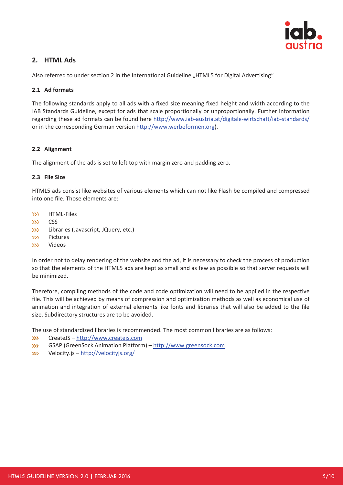

# **2. HTML Ads**

Also referred to under section 2 in the International Guideline "HTML5 for Digital Advertising"

# **2.1 Ad formats**

The following standards apply to all ads with a fixed size meaning fixed height and width according to the IAB Standards Guideline, except for ads that scale proportionally or unproportionally. Further information regarding these ad formats can be found here http://www.iab‐austria.at/digitale‐wirtschaft/iab‐standards/ or in the corresponding German version http://www.werbeformen.org).

# **2.2 Alignment**

The alignment of the ads is set to left top with margin zero and padding zero.

# **2.3 File Size**

HTML5 ads consist like websites of various elements which can not like Flash be compiled and compressed into one file. Those elements are:

- $335<sub>1</sub>$ HTML‐Files
- $335^\circ$ **CSS**
- Libraries (Javascript, JQuery, etc.)  $335^{\circ}$
- 3331 Pictures
- 5551 Videos

In order not to delay rendering of the website and the ad, it is necessary to check the process of production so that the elements of the HTML5 ads are kept as small and as few as possible so that server requests will be minimized.

Therefore, compiling methods of the code and code optimization will need to be applied in the respective file. This will be achieved by means of compression and optimization methods as well as economical use of animation and integration of external elements like fonts and libraries that will also be added to the file size. Subdirectory structures are to be avoided.

The use of standardized libraries is recommended. The most common libraries are as follows:

- 335-CreateJS – http://www.createjs.com
- XXX GSAP (GreenSock Animation Platform) – http://www.greensock.com
- Velocity.js http://velocityjs.org/ 333-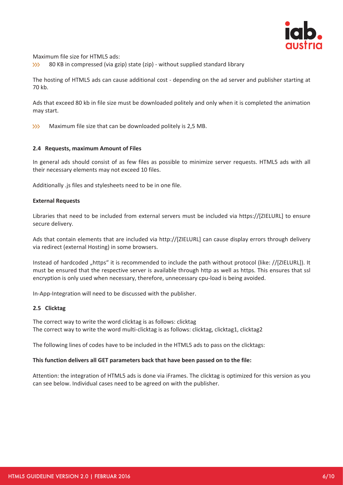

Maximum file size for HTML5 ads:

555 80 KB in compressed (via gzip) state (zip) ‐ without supplied standard library

The hosting of HTML5 ads can cause additional cost ‐ depending on the ad server and publisher starting at 70 kb.

Ads that exceed 80 kb in file size must be downloaded politely and only when it is completed the animation may start.

Maximum file size that can be downloaded politely is 2,5 MB. 555

#### **2.4 Requests, maximum Amount of Files**

In general ads should consist of as few files as possible to minimize server requests. HTML5 ads with all their necessary elements may not exceed 10 files.

Additionally .js files and stylesheets need to be in one file.

#### **External Requests**

Libraries that need to be included from external servers must be included via https://[ZIELURL] to ensure secure delivery.

Ads that contain elements that are included via http://[ZIELURL] can cause display errors through delivery via redirect (external Hosting) in some browsers.

Instead of hardcoded "https" it is recommended to include the path without protocol (like: //[ZIELURL]). It must be ensured that the respective server is available through http as well as https. This ensures that ssl encryption is only used when necessary, therefore, unnecessary cpu-load is being avoided.

In‐App‐Integration will need to be discussed with the publisher.

#### **2.5 Clicktag**

The correct way to write the word clicktag is as follows: clicktag The correct way to write the word multi-clicktag is as follows: clicktag, clicktag1, clicktag2

The following lines of codes have to be included in the HTML5 ads to pass on the clicktags:

#### **This function delivers all GET parameters back that have been passed on to the file:**

Attention: the integration of HTML5 ads is done via iFrames. The clicktag is optimized for this version as you can see below. Individual cases need to be agreed on with the publisher.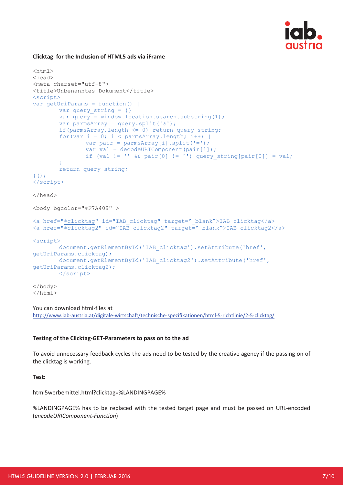

# **Clicktag for the Inclusion of HTML5 ads via iFrame**

```
<html> 
<head> 
<meta charset="utf-8"> 
<title>Unbenanntes Dokument</title> 
<script> 
var getUriParams = function() { 
        var query_string = {} 
       var query = window.location.search.substring(1);
       var parmsArray = query.split('&');
        if(parmsArray.length \leq 0) return query string;
        for(var i = 0; i < parmsArray.length; i++) {
                 var pair = parmsArray[i].split('='); 
                var val = decodeURIComponent(pair[1]);
                if (val != '' \&\& pair[0] != '') query string[pair[0]] = val;
 } 
         return query_string; 
}(); 
</script> 
</head> 
<body bgcolor="#F7A409" > 
<a href="#clicktag" id="IAB_clicktag" target="_blank">IAB clicktag</a> 
<a href="#clicktag2" id="IAB_clicktag2" target="_blank">IAB clicktag2</a> 
<script> 
         document.getElementById('IAB_clicktag').setAttribute('href', 
getUriParams.clicktag); 
        document.getElementById('IAB_clicktag2').setAttribute('href', 
getUriParams.clicktag2); 
        </script> 
</body> 
</html>
```
#### You can download html‐files at

http://www.iab‐austria.at/digitale‐wirtschaft/technische‐spezifikationen/html‐5‐richtlinie/2‐5‐clicktag/

#### **Testing of the Clicktag‐GET‐Parameters to pass on to the ad**

To avoid unnecessary feedback cycles the ads need to be tested by the creative agency if the passing on of the clicktag is working.

**Test:**

html5werbemittel.html?clicktag=%LANDINGPAGE%

%LANDINGPAGE% has to be replaced with the tested target page and must be passed on URL‐encoded (*encodeURIComponent‐Function*)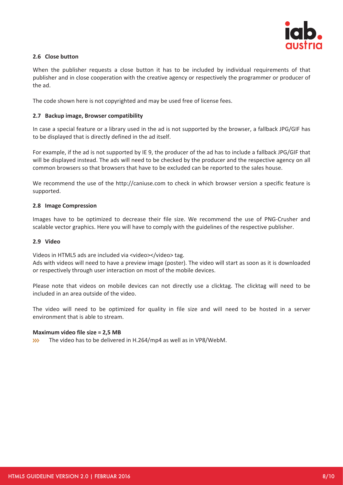

# **2.6 Close button**

When the publisher requests a close button it has to be included by individual requirements of that publisher and in close cooperation with the creative agency or respectively the programmer or producer of the ad.

The code shown here is not copyrighted and may be used free of license fees.

### **2.7 Backup image, Browser compatibility**

In case a special feature or a library used in the ad is not supported by the browser, a fallback JPG/GIF has to be displayed that is directly defined in the ad itself.

For example, if the ad is not supported by IE 9, the producer of the ad has to include a fallback JPG/GIF that will be displayed instead. The ads will need to be checked by the producer and the respective agency on all common browsers so that browsers that have to be excluded can be reported to the sales house.

We recommend the use of the http://caniuse.com to check in which browser version a specific feature is supported.

#### **2.8 Image Compression**

Images have to be optimized to decrease their file size. We recommend the use of PNG‐Crusher and scalable vector graphics. Here you will have to comply with the guidelines of the respective publisher.

#### **2.9 Video**

Videos in HTML5 ads are included via <video></video> tag.

Ads with videos will need to have a preview image (poster). The video will start as soon as it is downloaded or respectively through user interaction on most of the mobile devices.

Please note that videos on mobile devices can not directly use a clicktag. The clicktag will need to be included in an area outside of the video.

The video will need to be optimized for quality in file size and will need to be hosted in a server environment that is able to stream.

#### **Maximum video file size = 2,5 MB**

**SSS** The video has to be delivered in H.264/mp4 as well as in VP8/WebM.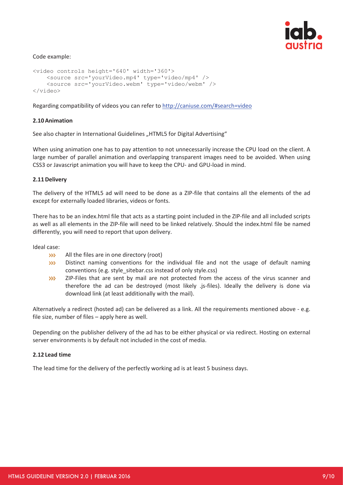

#### Code example:

```
<video controls height='640' width='360'> 
    <source src='yourVideo.mp4' type='video/mp4' /> 
    <source src='yourVideo.webm' type='video/webm' /> 
</video>
```
Regarding compatibility of videos you can refer to http://caniuse.com/#search=video

#### **2.10Animation**

See also chapter in International Guidelines "HTML5 for Digital Advertising"

When using animation one has to pay attention to not unnecessarily increase the CPU load on the client. A large number of parallel animation and overlapping transparent images need to be avoided. When using CSS3 or Javascript animation you will have to keep the CPU‐ and GPU‐load in mind.

#### **2.11Delivery**

The delivery of the HTML5 ad will need to be done as a ZIP-file that contains all the elements of the ad except for externally loaded libraries, videos or fonts.

There has to be an index.html file that acts as a starting point included in the ZIP-file and all included scripts as well as all elements in the ZIP‐file will need to be linked relatively. Should the index.html file be named differently, you will need to report that upon delivery.

Ideal case:

- **SSS** All the files are in one directory (root)
- Distinct naming conventions for the individual file and not the usage of default naming 333conventions (e.g. style\_sitebar.css instead of only style.css)
- ZIP-Files that are sent by mail are not protected from the access of the virus scanner and  $335^{\circ}$ therefore the ad can be destroyed (most likely .js‐files). Ideally the delivery is done via download link (at least additionally with the mail).

Alternatively a redirect (hosted ad) can be delivered as a link. All the requirements mentioned above ‐ e.g. file size, number of files – apply here as well.

Depending on the publisher delivery of the ad has to be either physical or via redirect. Hosting on external server environments is by default not included in the cost of media.

#### **2.12 Lead time**

The lead time for the delivery of the perfectly working ad is at least 5 business days.